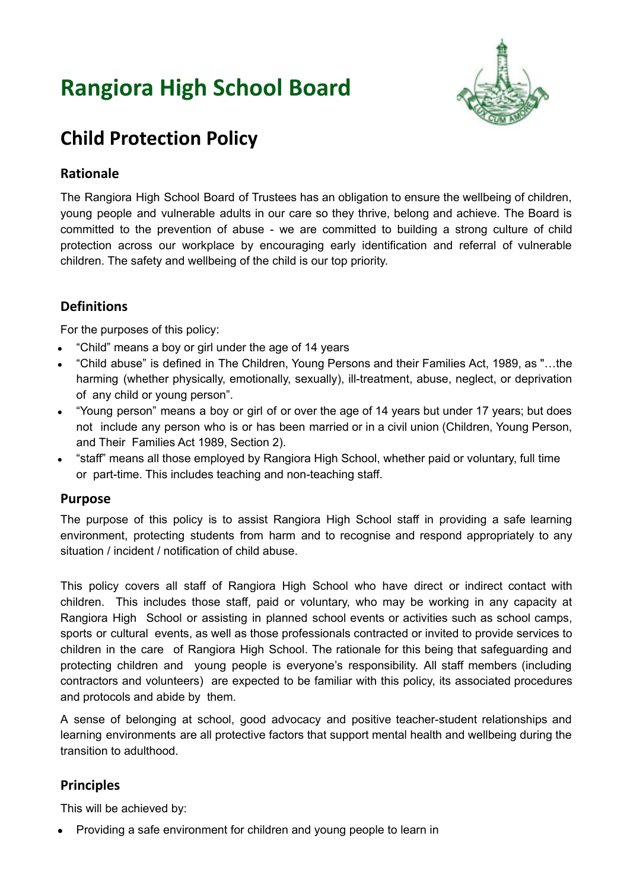# **Rangiora High School Board**



# **Child Protection Policy**

# **Rationale**

The Rangiora High School Board of Trustees has an obligation to ensure the wellbeing of children, young people and vulnerable adults in our care so they thrive, belong and achieve. The Board is committed to the prevention of abuse - we are committed to building a strong culture of child protection across our workplace by encouraging early identification and referral of vulnerable children. The safety and wellbeing of the child is our top priority.

# **Definitions**

For the purposes of this policy:

- "Child" means a boy or girl under the age of 14 years
- "Child abuse" is defined in The Children, Young Persons and their Families Act, 1989, as "...the harming (whether physically, emotionally, sexually), ill-treatment, abuse, neglect, or deprivation of any child or young person".
- "Young person" means a boy or girl of or over the age of 14 years but under 17 years; but does not include any person who is or has been married or in a civil union (Children, Young Person, and Their Families Act 1989, Section 2).
- "staff" means all those employed by Rangiora High School, whether paid or voluntary, full time or part-time. This includes teaching and non-teaching staff.

#### **Purpose**

The purpose of this policy is to assist Rangiora High School staff in providing a safe learning environment, protecting students from harm and to recognise and respond appropriately to any situation / incident / notification of child abuse.

This policy covers all staff of Rangiora High School who have direct or indirect contact with children. This includes those staff, paid or voluntary, who may be working in any capacity at Rangiora High School or assisting in planned school events or activities such as school camps, sports or cultural events, as well as those professionals contracted or invited to provide services to children in the care of Rangiora High School. The rationale for this being that safeguarding and protecting children and young people is everyone's responsibility. All staff members (including contractors and volunteers) are expected to be familiar with this policy, its associated procedures and protocols and abide by them.

A sense of belonging at school, good advocacy and positive teacher-student relationships and learning environments are all protective factors that support mental health and wellbeing during the transition to adulthood.

# **Principles**

This will be achieved by:

● Providing a safe environment for children and young people to learn in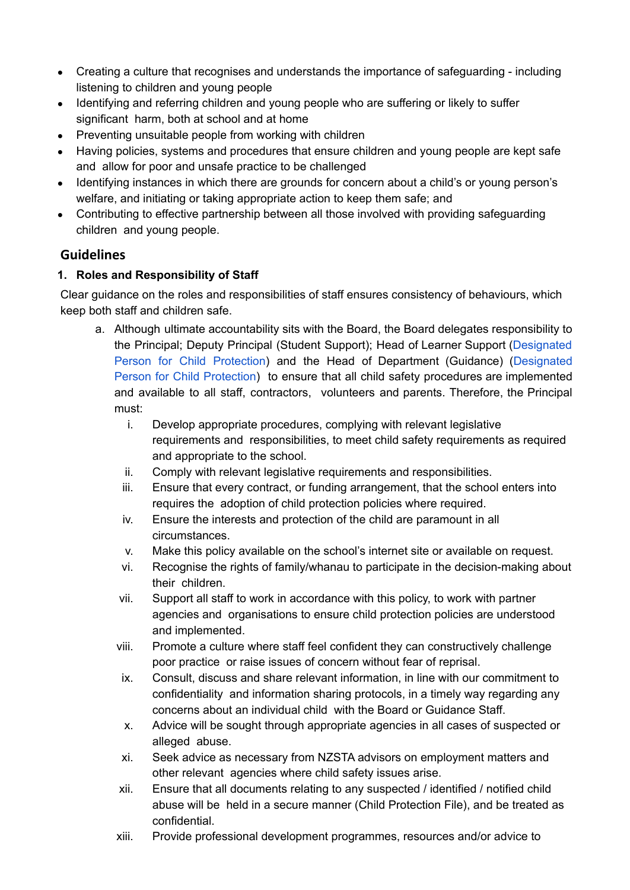- Creating a culture that recognises and understands the importance of safeguarding including listening to children and young people
- Identifying and referring children and young people who are suffering or likely to suffer significant harm, both at school and at home
- Preventing unsuitable people from working with children
- Having policies, systems and procedures that ensure children and young people are kept safe and allow for poor and unsafe practice to be challenged
- Identifying instances in which there are grounds for concern about a child's or young person's welfare, and initiating or taking appropriate action to keep them safe; and
- Contributing to effective partnership between all those involved with providing safeguarding children and young people.

# **Guidelines**

### **1. Roles and Responsibility of Staff**

Clear guidance on the roles and responsibilities of staff ensures consistency of behaviours, which keep both staff and children safe.

- a. Although ultimate accountability sits with the Board, the Board delegates responsibility to the Principal; Deputy Principal (Student Support); Head of Learner Support (Designated Person for Child Protection) and the Head of Department (Guidance) (Designated Person for Child Protection) to ensure that all child safety procedures are implemented and available to all staff, contractors, volunteers and parents. Therefore, the Principal must:
	- i. Develop appropriate procedures, complying with relevant legislative requirements and responsibilities, to meet child safety requirements as required and appropriate to the school.
	- ii. Comply with relevant legislative requirements and responsibilities.
	- iii. Ensure that every contract, or funding arrangement, that the school enters into requires the adoption of child protection policies where required.
	- iv. Ensure the interests and protection of the child are paramount in all circumstances.
	- v. Make this policy available on the school's internet site or available on request.
	- vi. Recognise the rights of family/whanau to participate in the decision-making about their children.
	- vii. Support all staff to work in accordance with this policy, to work with partner agencies and organisations to ensure child protection policies are understood and implemented.
	- viii. Promote a culture where staff feel confident they can constructively challenge poor practice or raise issues of concern without fear of reprisal.
	- ix. Consult, discuss and share relevant information, in line with our commitment to confidentiality and information sharing protocols, in a timely way regarding any concerns about an individual child with the Board or Guidance Staff.
	- x. Advice will be sought through appropriate agencies in all cases of suspected or alleged abuse.
	- xi. Seek advice as necessary from NZSTA advisors on employment matters and other relevant agencies where child safety issues arise.
	- xii. Ensure that all documents relating to any suspected / identified / notified child abuse will be held in a secure manner (Child Protection File), and be treated as confidential.
	- xiii. Provide professional development programmes, resources and/or advice to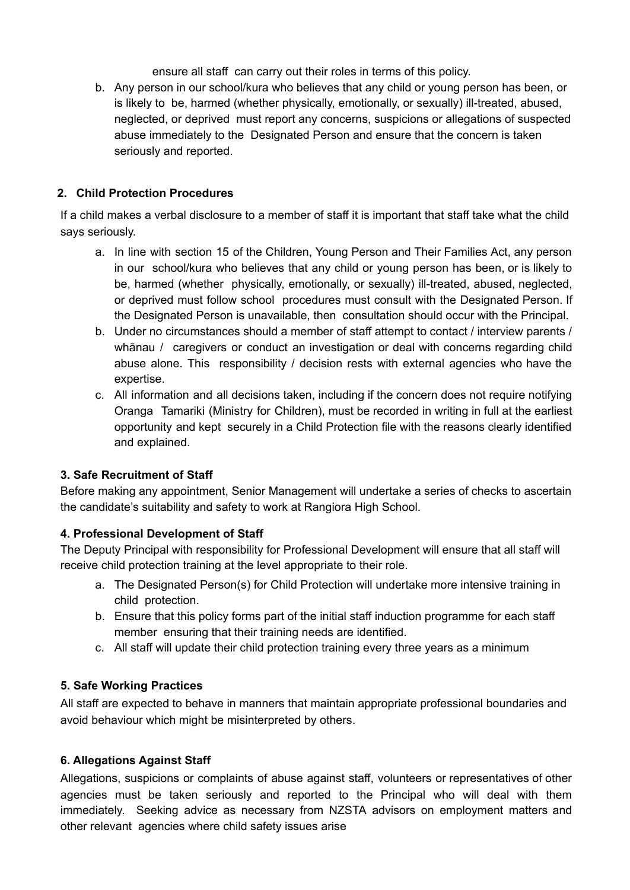ensure all staff can carry out their roles in terms of this policy.

b. Any person in our school/kura who believes that any child or young person has been, or is likely to be, harmed (whether physically, emotionally, or sexually) ill-treated, abused, neglected, or deprived must report any concerns, suspicions or allegations of suspected abuse immediately to the Designated Person and ensure that the concern is taken seriously and reported.

#### **2. Child Protection Procedures**

If a child makes a verbal disclosure to a member of staff it is important that staff take what the child says seriously.

- a. In line with section 15 of the Children, Young Person and Their Families Act, any person in our school/kura who believes that any child or young person has been, or is likely to be, harmed (whether physically, emotionally, or sexually) ill-treated, abused, neglected, or deprived must follow school procedures must consult with the Designated Person. If the Designated Person is unavailable, then consultation should occur with the Principal.
- b. Under no circumstances should a member of staff attempt to contact / interview parents / whānau / caregivers or conduct an investigation or deal with concerns regarding child abuse alone. This responsibility / decision rests with external agencies who have the expertise.
- c. All information and all decisions taken, including if the concern does not require notifying Oranga Tamariki (Ministry for Children), must be recorded in writing in full at the earliest opportunity and kept securely in a Child Protection file with the reasons clearly identified and explained.

#### **3. Safe Recruitment of Staff**

Before making any appointment, Senior Management will undertake a series of checks to ascertain the candidate's suitability and safety to work at Rangiora High School.

#### **4. Professional Development of Staff**

The Deputy Principal with responsibility for Professional Development will ensure that all staff will receive child protection training at the level appropriate to their role.

- a. The Designated Person(s) for Child Protection will undertake more intensive training in child protection.
- b. Ensure that this policy forms part of the initial staff induction programme for each staff member ensuring that their training needs are identified.
- c. All staff will update their child protection training every three years as a minimum

#### **5. Safe Working Practices**

All staff are expected to behave in manners that maintain appropriate professional boundaries and avoid behaviour which might be misinterpreted by others.

#### **6. Allegations Against Staff**

Allegations, suspicions or complaints of abuse against staff, volunteers or representatives of other agencies must be taken seriously and reported to the Principal who will deal with them immediately. Seeking advice as necessary from NZSTA advisors on employment matters and other relevant agencies where child safety issues arise